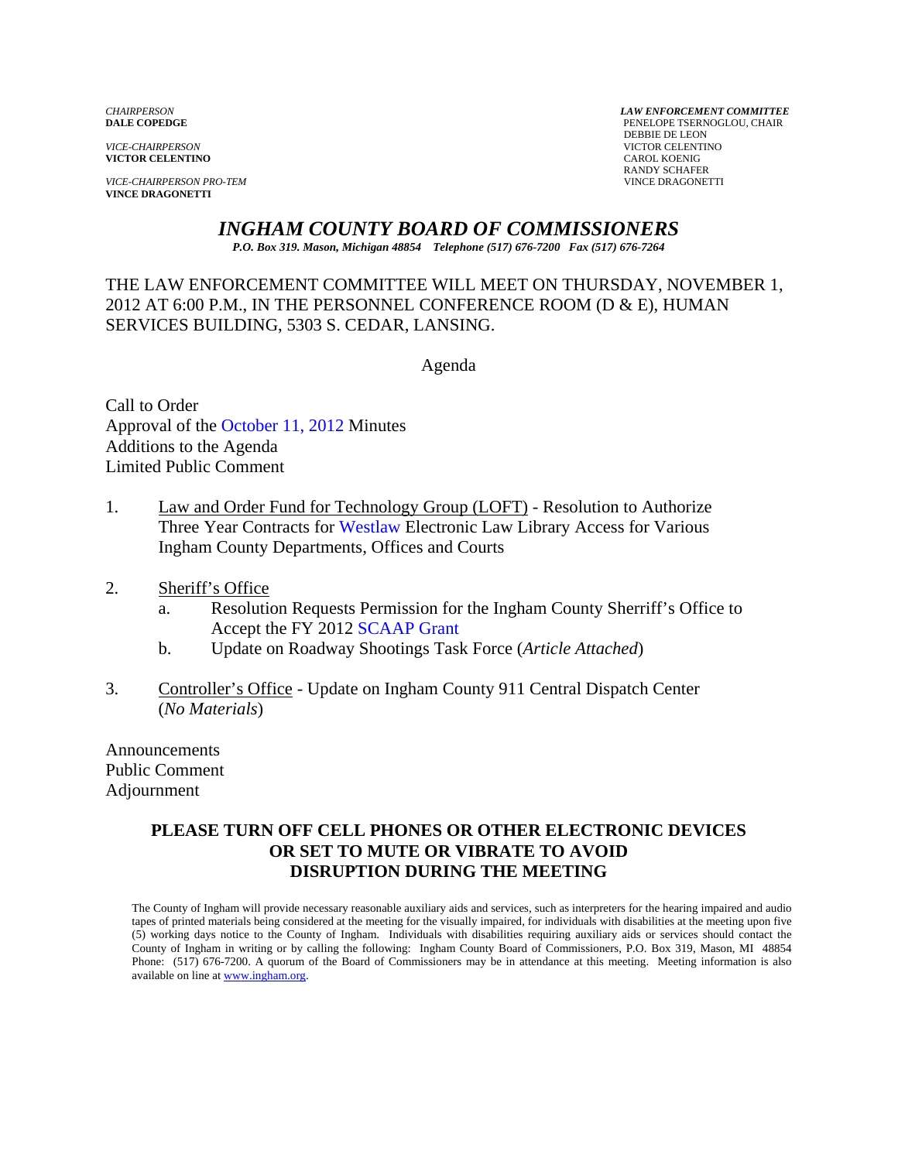**VICTOR CELENTINO** 

*VICE-CHAIRPERSON PRO-TEM* VINCE DRAGONETTI **VINCE DRAGONETTI** 

*CHAIRPERSON LAW ENFORCEMENT COMMITTEE* PENELOPE TSERNOGLOU, CHAIR **PERSUAL SERVICE-CHAIRPERSON**<br> **PERSUAL SERVICTOR CELENTI VICTOR CELENTINO**<br>CAROL KOENIG RANDY SCHAFER

# *INGHAM COUNTY BOARD OF COMMISSIONERS*

*P.O. Box 319. Mason, Michigan 48854 Telephone (517) 676-7200 Fax (517) 676-7264*

THE LAW ENFORCEMENT COMMITTEE WILL MEET ON THURSDAY, NOVEMBER 1, 2012 AT 6:00 P.M., IN THE PERSONNEL CONFERENCE ROOM (D & E), HUMAN SERVICES BUILDING, 5303 S. CEDAR, LANSING.

Agenda

Call to Order Approval of [the October 11, 2012 Minutes](#page-1-0)  Additions to the Agenda Limited Public Comment

- 1. Law and Order Fund for Technology Group (LOFT) Resolution to Authorize Three Year Contracts [for Westlaw Electronic](#page-4-0) Law Library Access for Various Ingham County Departments, Offices and Courts
- 2. Sheriff's Office
	- a. Resolution Requests Permission for the Ingham County Sherriff's Office to Accept the FY 2012 SCAAP Grant
	- b. Update on Road[way Shootings Task Force](#page-7-0) (*Article Attached*)
- 3. Controller's Office Update on Ingham County 911 Central Dispatch Center (*No Materials*)

Announcements Public Comment Adjournment

#### **PLEASE TURN OFF CELL PHONES OR OTHER ELECTRONIC DEVICES OR SET TO MUTE OR VIBRATE TO AVOID DISRUPTION DURING THE MEETING**

The County of Ingham will provide necessary reasonable auxiliary aids and services, such as interpreters for the hearing impaired and audio tapes of printed materials being considered at the meeting for the visually impaired, for individuals with disabilities at the meeting upon five (5) working days notice to the County of Ingham. Individuals with disabilities requiring auxiliary aids or services should contact the County of Ingham in writing or by calling the following: Ingham County Board of Commissioners, P.O. Box 319, Mason, MI 48854 Phone: (517) 676-7200. A quorum of the Board of Commissioners may be in attendance at this meeting. Meeting information is also available on line at www.ingham.org.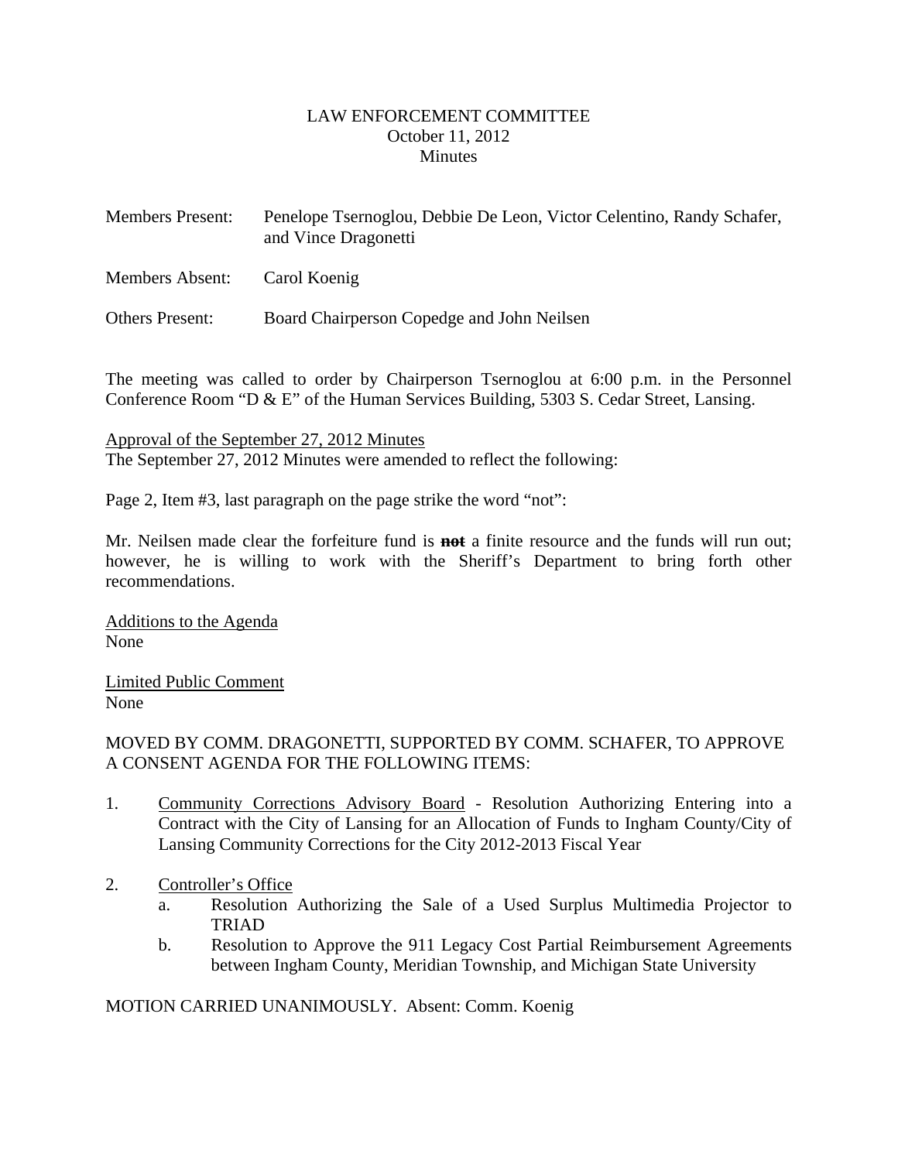#### LAW ENFORCEMENT COMMITTEE October 11, 2012 **Minutes**

<span id="page-1-0"></span>

| <b>Members Present:</b> | Penelope Tsernoglou, Debbie De Leon, Victor Celentino, Randy Schafer,<br>and Vince Dragonetti |
|-------------------------|-----------------------------------------------------------------------------------------------|
| <b>Members Absent:</b>  | Carol Koenig                                                                                  |
| <b>Others Present:</b>  | Board Chairperson Copedge and John Neilsen                                                    |

The meeting was called to order by Chairperson Tsernoglou at 6:00 p.m. in the Personnel Conference Room "D & E" of the Human Services Building, 5303 S. Cedar Street, Lansing.

Approval of the September 27, 2012 Minutes The September 27, 2012 Minutes were amended to reflect the following:

Page 2, Item #3, last paragraph on the page strike the word "not":

Mr. Neilsen made clear the forfeiture fund is **not** a finite resource and the funds will run out; however, he is willing to work with the Sheriff's Department to bring forth other recommendations.

Additions to the Agenda None

Limited Public Comment None

#### MOVED BY COMM. DRAGONETTI, SUPPORTED BY COMM. SCHAFER, TO APPROVE A CONSENT AGENDA FOR THE FOLLOWING ITEMS:

- 1. Community Corrections Advisory Board Resolution Authorizing Entering into a Contract with the City of Lansing for an Allocation of Funds to Ingham County/City of Lansing Community Corrections for the City 2012-2013 Fiscal Year
- 2. Controller's Office
	- a. Resolution Authorizing the Sale of a Used Surplus Multimedia Projector to TRIAD
	- b. Resolution to Approve the 911 Legacy Cost Partial Reimbursement Agreements between Ingham County, Meridian Township, and Michigan State University

MOTION CARRIED UNANIMOUSLY. Absent: Comm. Koenig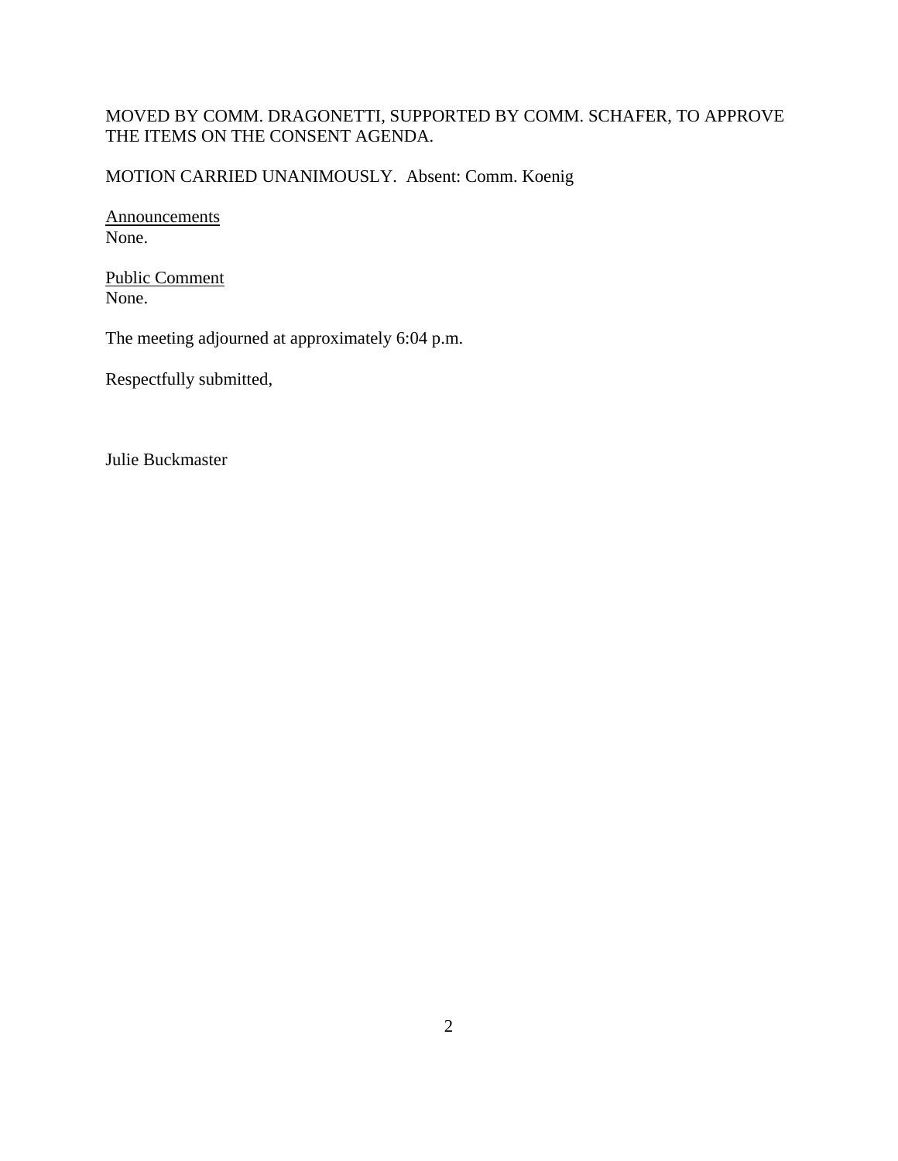# MOVED BY COMM. DRAGONETTI, SUPPORTED BY COMM. SCHAFER, TO APPROVE THE ITEMS ON THE CONSENT AGENDA.

MOTION CARRIED UNANIMOUSLY. Absent: Comm. Koenig

Announcements None.

Public Comment None.

The meeting adjourned at approximately 6:04 p.m.

Respectfully submitted,

Julie Buckmaster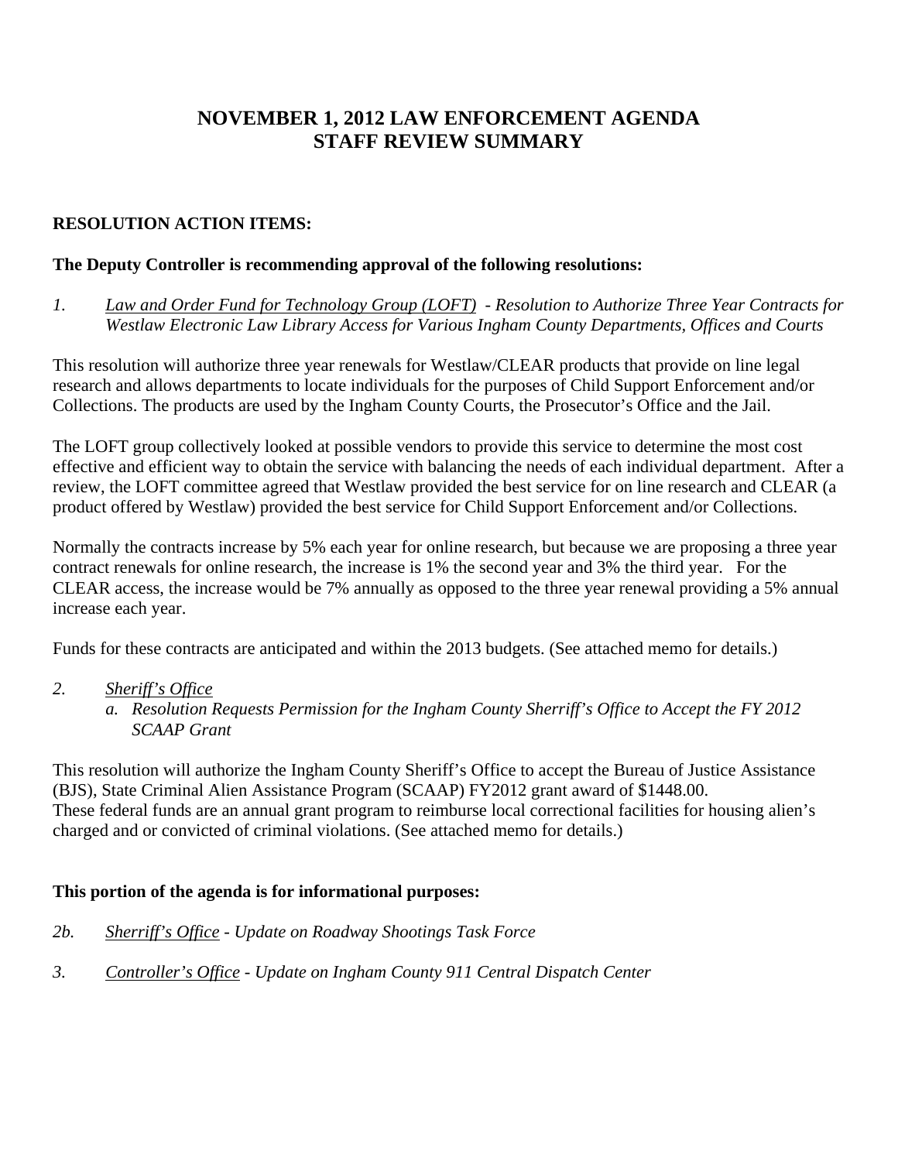# **NOVEMBER 1, 2012 LAW ENFORCEMENT AGENDA STAFF REVIEW SUMMARY**

# **RESOLUTION ACTION ITEMS:**

#### **The Deputy Controller is recommending approval of the following resolutions:**

*1. Law and Order Fund for Technology Group (LOFT) - Resolution to Authorize Three Year Contracts for Westlaw Electronic Law Library Access for Various Ingham County Departments, Offices and Courts* 

This resolution will authorize three year renewals for Westlaw/CLEAR products that provide on line legal research and allows departments to locate individuals for the purposes of Child Support Enforcement and/or Collections. The products are used by the Ingham County Courts, the Prosecutor's Office and the Jail.

The LOFT group collectively looked at possible vendors to provide this service to determine the most cost effective and efficient way to obtain the service with balancing the needs of each individual department. After a review, the LOFT committee agreed that Westlaw provided the best service for on line research and CLEAR (a product offered by Westlaw) provided the best service for Child Support Enforcement and/or Collections.

Normally the contracts increase by 5% each year for online research, but because we are proposing a three year contract renewals for online research, the increase is 1% the second year and 3% the third year. For the CLEAR access, the increase would be 7% annually as opposed to the three year renewal providing a 5% annual increase each year.

Funds for these contracts are anticipated and within the 2013 budgets. (See attached memo for details.)

- *2. Sheriff's Office*
	- *a. Resolution Requests Permission for the Ingham County Sherriff's Office to Accept the FY 2012 SCAAP Grant*

This resolution will authorize the Ingham County Sheriff's Office to accept the Bureau of Justice Assistance (BJS), State Criminal Alien Assistance Program (SCAAP) FY2012 grant award of \$1448.00. These federal funds are an annual grant program to reimburse local correctional facilities for housing alien's charged and or convicted of criminal violations. (See attached memo for details.)

## **This portion of the agenda is for informational purposes:**

- *2b. Sherriff's Office Update on Roadway Shootings Task Force*
- *3. Controller's Office Update on Ingham County 911 Central Dispatch Center*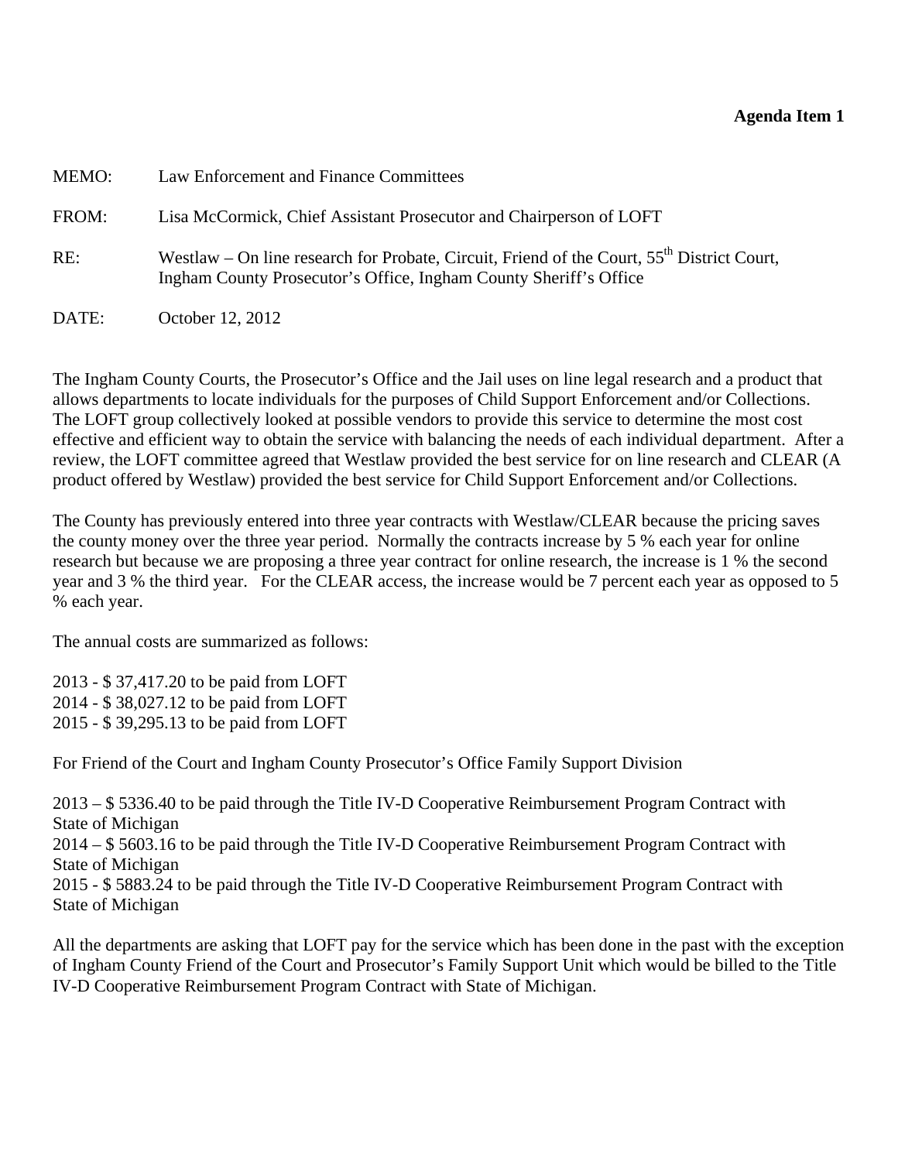### **Agenda Item 1**

<span id="page-4-0"></span>

| MEMO: | Law Enforcement and Finance Committees                                                                                                                            |
|-------|-------------------------------------------------------------------------------------------------------------------------------------------------------------------|
| FROM: | Lisa McCormick, Chief Assistant Prosecutor and Chairperson of LOFT                                                                                                |
| RE:   | Westlaw – On line research for Probate, Circuit, Friend of the Court, $55th$ District Court,<br>Ingham County Prosecutor's Office, Ingham County Sheriff's Office |
| DATE: | October 12, 2012                                                                                                                                                  |

The Ingham County Courts, the Prosecutor's Office and the Jail uses on line legal research and a product that allows departments to locate individuals for the purposes of Child Support Enforcement and/or Collections. The LOFT group collectively looked at possible vendors to provide this service to determine the most cost effective and efficient way to obtain the service with balancing the needs of each individual department. After a review, the LOFT committee agreed that Westlaw provided the best service for on line research and CLEAR (A product offered by Westlaw) provided the best service for Child Support Enforcement and/or Collections.

The County has previously entered into three year contracts with Westlaw/CLEAR because the pricing saves the county money over the three year period. Normally the contracts increase by 5 % each year for online research but because we are proposing a three year contract for online research, the increase is 1 % the second year and 3 % the third year. For the CLEAR access, the increase would be 7 percent each year as opposed to 5 % each year.

The annual costs are summarized as follows:

2013 - \$ 37,417.20 to be paid from LOFT 2014 - \$ 38,027.12 to be paid from LOFT 2015 - \$ 39,295.13 to be paid from LOFT

For Friend of the Court and Ingham County Prosecutor's Office Family Support Division

2013 – \$ 5336.40 to be paid through the Title IV-D Cooperative Reimbursement Program Contract with State of Michigan 2014 – \$ 5603.16 to be paid through the Title IV-D Cooperative Reimbursement Program Contract with State of Michigan 2015 - \$ 5883.24 to be paid through the Title IV-D Cooperative Reimbursement Program Contract with State of Michigan

All the departments are asking that LOFT pay for the service which has been done in the past with the exception of Ingham County Friend of the Court and Prosecutor's Family Support Unit which would be billed to the Title IV-D Cooperative Reimbursement Program Contract with State of Michigan.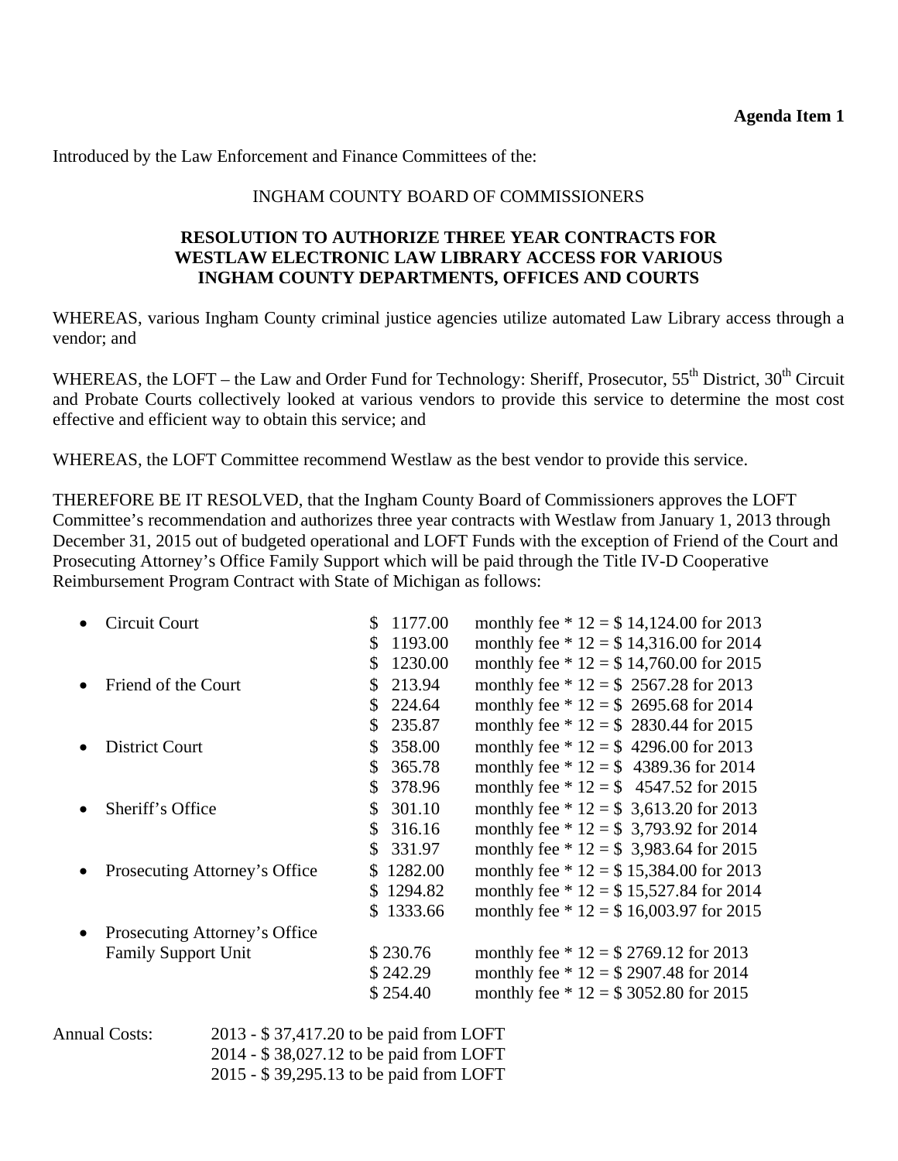Introduced by the Law Enforcement and Finance Committees of the:

### INGHAM COUNTY BOARD OF COMMISSIONERS

#### **RESOLUTION TO AUTHORIZE THREE YEAR CONTRACTS FOR WESTLAW ELECTRONIC LAW LIBRARY ACCESS FOR VARIOUS INGHAM COUNTY DEPARTMENTS, OFFICES AND COURTS**

WHEREAS, various Ingham County criminal justice agencies utilize automated Law Library access through a vendor; and

WHEREAS, the LOFT – the Law and Order Fund for Technology: Sheriff, Prosecutor,  $55^{th}$  District,  $30^{th}$  Circuit and Probate Courts collectively looked at various vendors to provide this service to determine the most cost effective and efficient way to obtain this service; and

WHEREAS, the LOFT Committee recommend Westlaw as the best vendor to provide this service.

THEREFORE BE IT RESOLVED, that the Ingham County Board of Commissioners approves the LOFT Committee's recommendation and authorizes three year contracts with Westlaw from January 1, 2013 through December 31, 2015 out of budgeted operational and LOFT Funds with the exception of Friend of the Court and Prosecuting Attorney's Office Family Support which will be paid through the Title IV-D Cooperative Reimbursement Program Contract with State of Michigan as follows:

| Circuit Court                 | 1177.00<br>\$.           | monthly fee $* 12 = $14,124.00$ for 2013 |
|-------------------------------|--------------------------|------------------------------------------|
|                               | \$1193.00                | monthly fee $* 12 = $14,316.00$ for 2014 |
|                               | 1230.00<br>\$            | monthly fee $* 12 = $14,760.00$ for 2015 |
| Friend of the Court           | 213.94<br>\$.            | monthly fee $* 12 = $ 2567.28$ for 2013  |
|                               | 224.64<br>\$.            | monthly fee $* 12 = $2695.68$ for 2014   |
|                               | 235.87<br>\$             | monthly fee $* 12 = $2830.44$ for 2015   |
| <b>District Court</b>         | 358.00<br>\$             | monthly fee $* 12 = $ 4296.00$ for 2013  |
|                               | 365.78<br>$\mathbb{S}^-$ | monthly fee $* 12 = $4389.36$ for 2014   |
|                               | $\mathbb{S}$<br>378.96   | monthly fee $* 12 = $ 4547.52$ for 2015  |
| Sheriff's Office              | 301.10<br>$\mathbb{S}$   | monthly fee $* 12 = $3,613.20$ for 2013  |
|                               | 316.16<br>$\mathbb{S}^-$ | monthly fee $* 12 = $3,793.92$ for 2014  |
|                               | 331.97<br>$\mathbb{S}^-$ | monthly fee $* 12 = $3,983.64$ for 2015  |
| Prosecuting Attorney's Office | \$1282.00                | monthly fee $* 12 = $15,384.00$ for 2013 |
|                               | \$1294.82                | monthly fee $* 12 = $15,527.84$ for 2014 |
|                               | \$1333.66                | monthly fee $* 12 = $16,003.97$ for 2015 |
| Prosecuting Attorney's Office |                          |                                          |
| <b>Family Support Unit</b>    | \$230.76                 | monthly fee $* 12 = $2769.12$ for 2013   |
|                               | \$242.29                 | monthly fee $* 12 = $2907.48$ for 2014   |
|                               | \$254.40                 | monthly fee $* 12 = $3052.80$ for 2015   |
|                               |                          |                                          |

Annual Costs: 2013 - \$ 37,417.20 to be paid from LOFT 2014 - \$ 38,027.12 to be paid from LOFT 2015 - \$ 39,295.13 to be paid from LOFT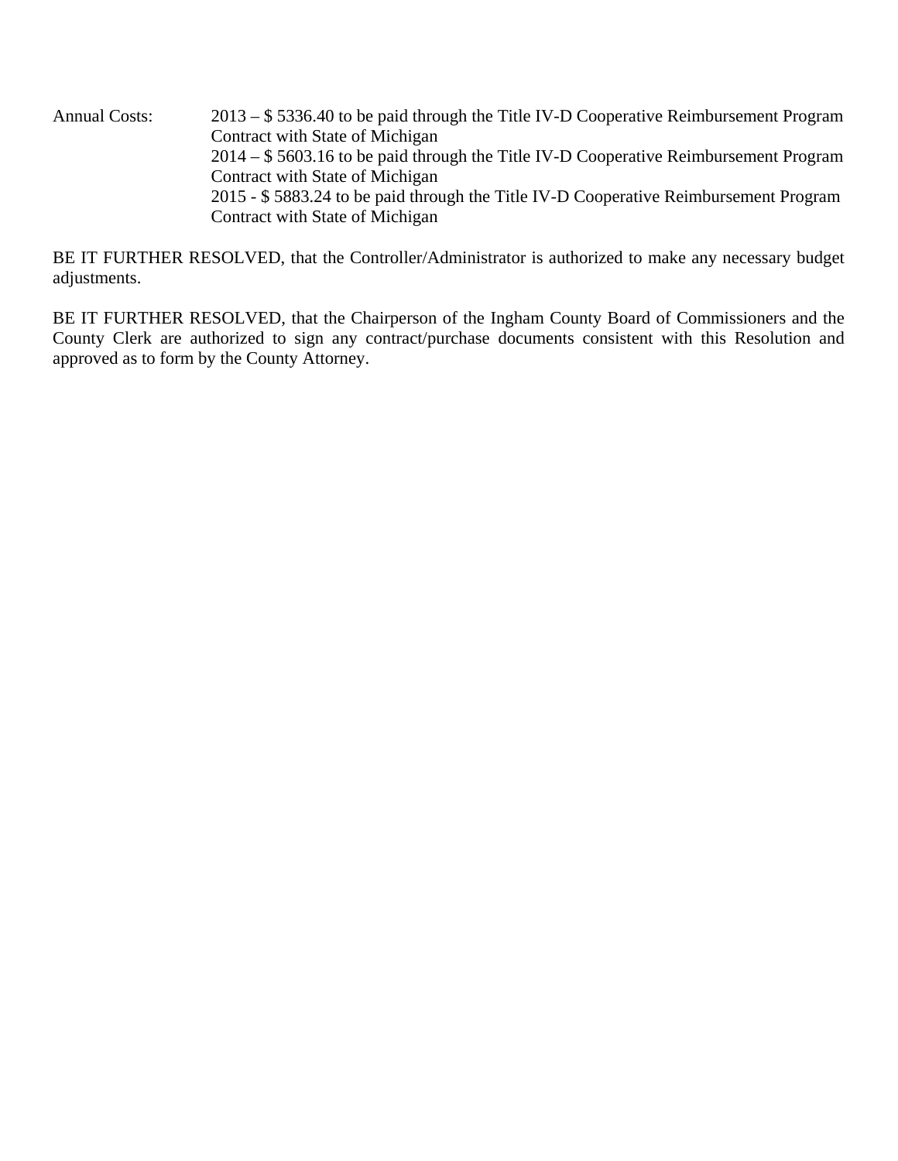Annual Costs: 2013 – \$ 5336.40 to be paid through the Title IV-D Cooperative Reimbursement Program Contract with State of Michigan 2014 – \$ 5603.16 to be paid through the Title IV-D Cooperative Reimbursement Program Contract with State of Michigan 2015 - \$ 5883.24 to be paid through the Title IV-D Cooperative Reimbursement Program Contract with State of Michigan

BE IT FURTHER RESOLVED, that the Controller/Administrator is authorized to make any necessary budget adjustments.

BE IT FURTHER RESOLVED, that the Chairperson of the Ingham County Board of Commissioners and the County Clerk are authorized to sign any contract/purchase documents consistent with this Resolution and approved as to form by the County Attorney.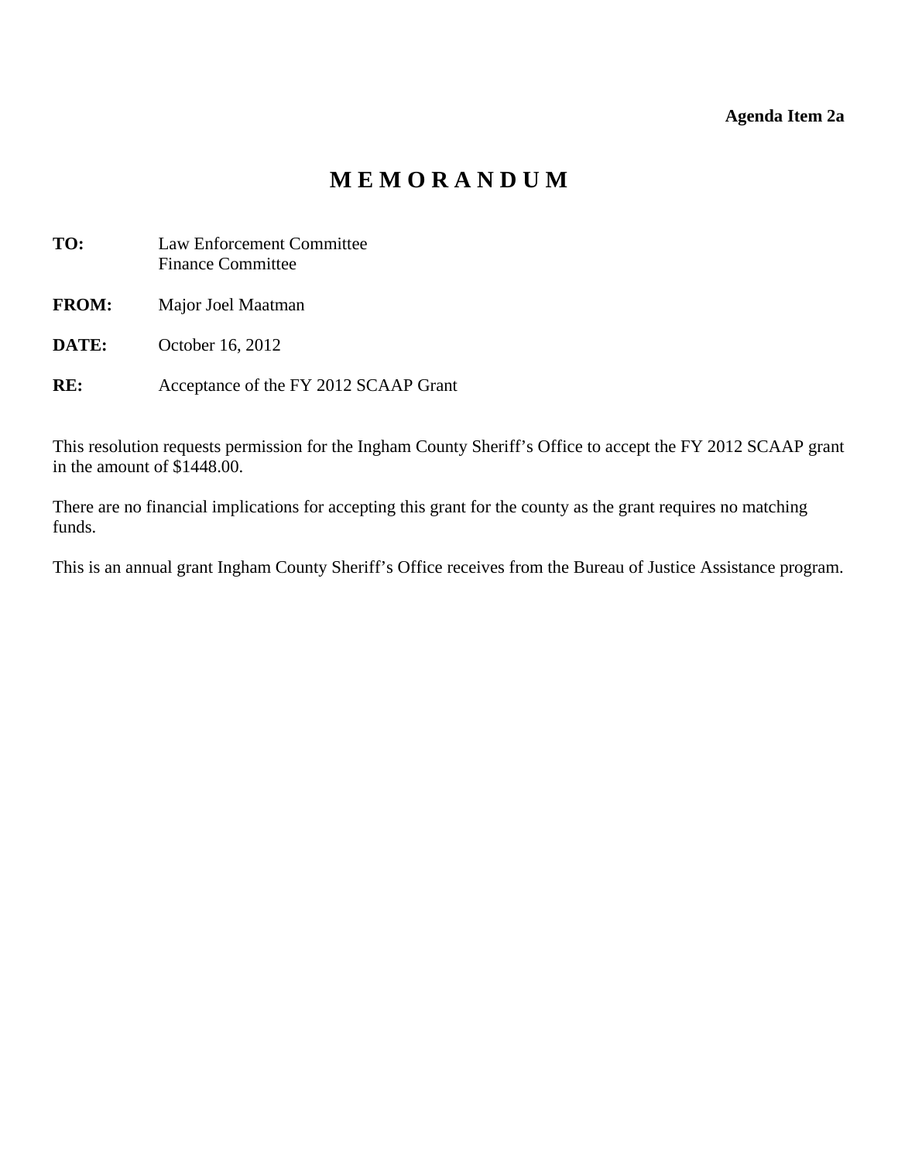## **Agenda Item 2a**

# **M E M O R A N D U M**

<span id="page-7-0"></span>

| TO:          | <b>Law Enforcement Committee</b><br><b>Finance Committee</b> |
|--------------|--------------------------------------------------------------|
| <b>FROM:</b> | Major Joel Maatman                                           |
| DATE:        | October 16, 2012                                             |
| RE:          | Acceptance of the FY 2012 SCAAP Grant                        |

This resolution requests permission for the Ingham County Sheriff's Office to accept the FY 2012 SCAAP grant in the amount of \$1448.00.

There are no financial implications for accepting this grant for the county as the grant requires no matching funds.

This is an annual grant Ingham County Sheriff's Office receives from the Bureau of Justice Assistance program.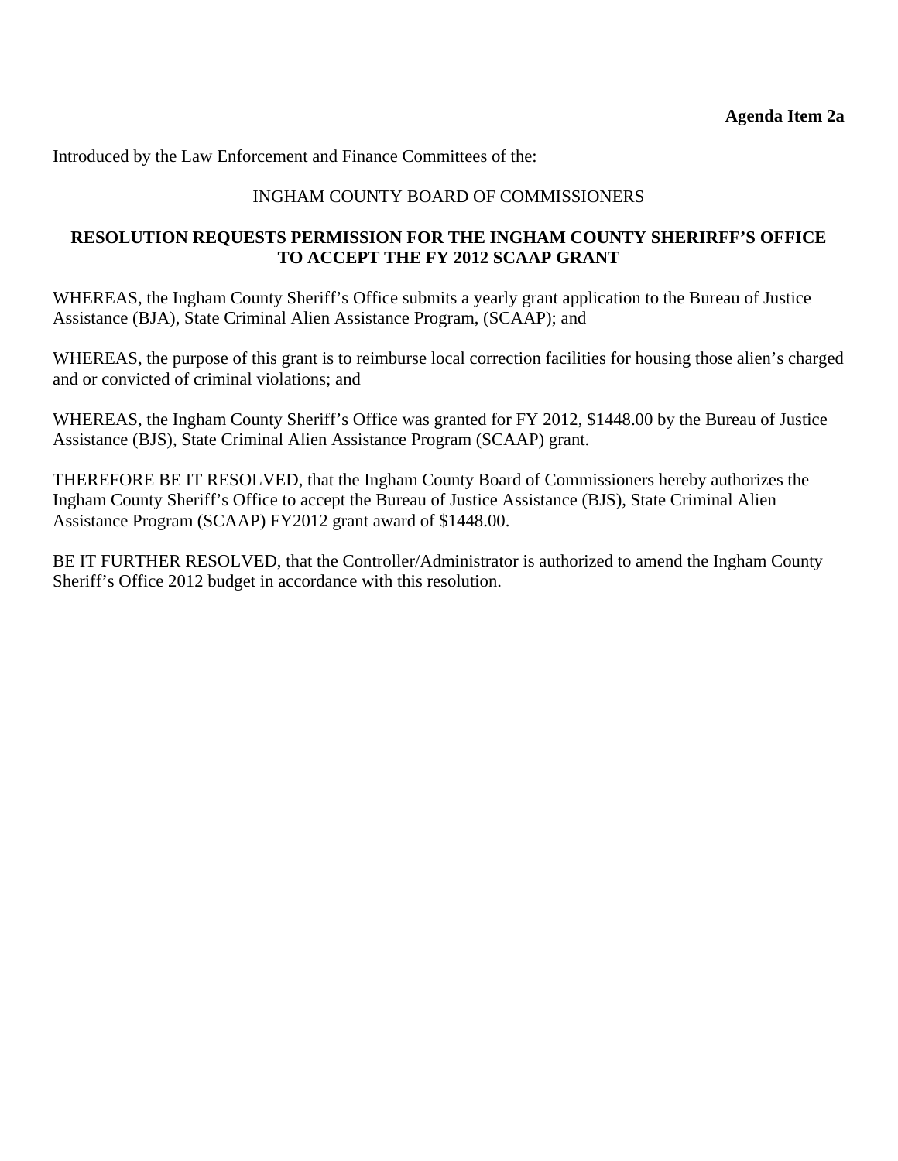Introduced by the Law Enforcement and Finance Committees of the:

# INGHAM COUNTY BOARD OF COMMISSIONERS

## **RESOLUTION REQUESTS PERMISSION FOR THE INGHAM COUNTY SHERIRFF'S OFFICE TO ACCEPT THE FY 2012 SCAAP GRANT**

WHEREAS, the Ingham County Sheriff's Office submits a yearly grant application to the Bureau of Justice Assistance (BJA), State Criminal Alien Assistance Program, (SCAAP); and

WHEREAS, the purpose of this grant is to reimburse local correction facilities for housing those alien's charged and or convicted of criminal violations; and

WHEREAS, the Ingham County Sheriff's Office was granted for FY 2012, \$1448.00 by the Bureau of Justice Assistance (BJS), State Criminal Alien Assistance Program (SCAAP) grant.

THEREFORE BE IT RESOLVED, that the Ingham County Board of Commissioners hereby authorizes the Ingham County Sheriff's Office to accept the Bureau of Justice Assistance (BJS), State Criminal Alien Assistance Program (SCAAP) FY2012 grant award of \$1448.00.

BE IT FURTHER RESOLVED, that the Controller/Administrator is authorized to amend the Ingham County Sheriff's Office 2012 budget in accordance with this resolution.